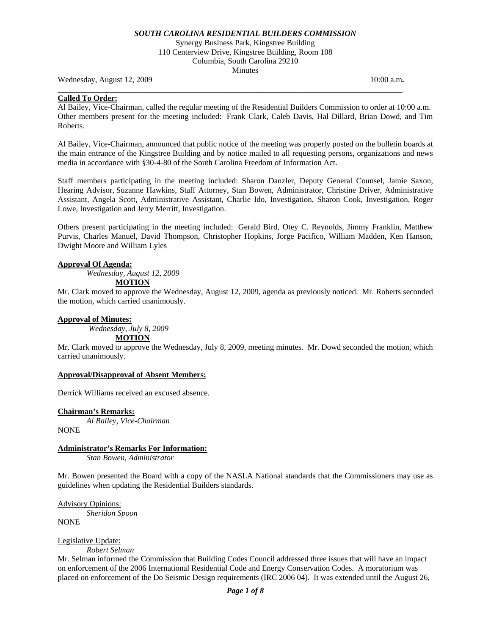Synergy Business Park, Kingstree Building 110 Centerview Drive, Kingstree Building, Room 108 Columbia, South Carolina 29210 **Minutes** 

**\_\_\_\_\_\_\_\_\_\_\_\_\_\_\_\_\_\_\_\_\_\_\_\_\_\_\_\_\_\_\_\_\_\_\_\_\_\_\_\_\_\_\_\_\_\_\_\_\_\_\_\_\_\_\_\_\_\_\_\_\_\_\_\_\_\_\_\_\_\_\_\_\_\_\_\_\_\_\_\_\_\_\_\_\_\_** 

Wednesday, August 12, 2009 **10:00 a.m. 10:00 a.m. 10:00 a.m. 10:00 a.m.** 

# **Called To Order:**

Al Bailey, Vice-Chairman, called the regular meeting of the Residential Builders Commission to order at 10:00 a.m. Other members present for the meeting included: Frank Clark, Caleb Davis, Hal Dillard, Brian Dowd, and Tim Roberts.

Al Bailey, Vice-Chairman, announced that public notice of the meeting was properly posted on the bulletin boards at the main entrance of the Kingstree Building and by notice mailed to all requesting persons, organizations and news media in accordance with §30-4-80 of the South Carolina Freedom of Information Act.

Staff members participating in the meeting included: Sharon Danzler, Deputy General Counsel, Jamie Saxon, Hearing Advisor, Suzanne Hawkins, Staff Attorney, Stan Bowen, Administrator, Christine Driver, Administrative Assistant, Angela Scott, Administrative Assistant, Charlie Ido, Investigation, Sharon Cook, Investigation, Roger Lowe, Investigation and Jerry Merritt, Investigation.

Others present participating in the meeting included: Gerald Bird, Otey C. Reynolds, Jimmy Franklin, Matthew Purvis, Charles Manuel, David Thompson, Christopher Hopkins, Jorge Pacifico, William Madden, Ken Hanson, Dwight Moore and William Lyles

#### **Approval Of Agenda:**

*Wednesday, August 12, 2009* 

**MOTION**

Mr. Clark moved to approve the Wednesday, August 12, 2009, agenda as previously noticed. Mr. Roberts seconded the motion, which carried unanimously.

## **Approval of Minutes:**

 *Wednesday, July 8, 2009*  **MOTION**

Mr. Clark moved to approve the Wednesday, July 8, 2009, meeting minutes. Mr. Dowd seconded the motion, which carried unanimously.

#### **Approval/Disapproval of Absent Members:**

Derrick Williams received an excused absence.

#### **Chairman's Remarks:**

*Al Bailey, Vice-Chairman* 

NONE

## **Administrator's Remarks For Information:**

 *Stan Bowen, Administrator* 

Mr. Bowen presented the Board with a copy of the NASLA National standards that the Commissioners may use as guidelines when updating the Residential Builders standards.

Advisory Opinions: *Sheridon Spoon*  **NONE** 

Legislative Update:

*Robert Selman* 

Mr. Selman informed the Commission that Building Codes Council addressed three issues that will have an impact on enforcement of the 2006 International Residential Code and Energy Conservation Codes. A moratorium was placed on enforcement of the Do Seismic Design requirements (IRC 2006 04). It was extended until the August 26,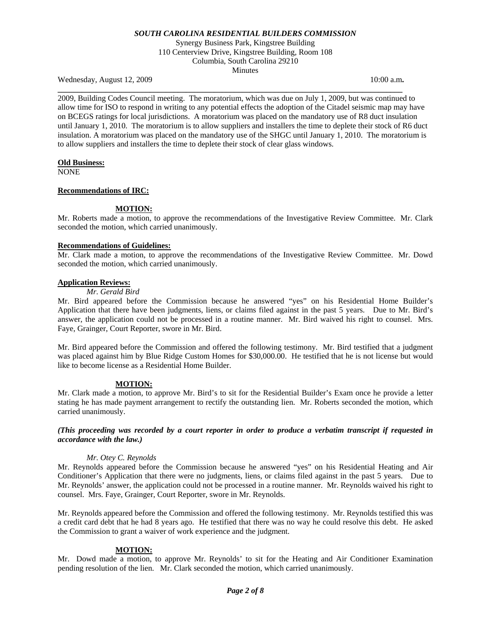Synergy Business Park, Kingstree Building 110 Centerview Drive, Kingstree Building, Room 108 Columbia, South Carolina 29210 Minutes

Wednesday, August 12, 2009 **10:00 a.m. 10:00 a.m. 10:00 a.m. 10:00 a.m.** 

2009, Building Codes Council meeting. The moratorium, which was due on July 1, 2009, but was continued to allow time for ISO to respond in writing to any potential effects the adoption of the Citadel seismic map may have on BCEGS ratings for local jurisdictions. A moratorium was placed on the mandatory use of R8 duct insulation until January 1, 2010. The moratorium is to allow suppliers and installers the time to deplete their stock of R6 duct insulation. A moratorium was placed on the mandatory use of the SHGC until January 1, 2010. The moratorium is to allow suppliers and installers the time to deplete their stock of clear glass windows.

**\_\_\_\_\_\_\_\_\_\_\_\_\_\_\_\_\_\_\_\_\_\_\_\_\_\_\_\_\_\_\_\_\_\_\_\_\_\_\_\_\_\_\_\_\_\_\_\_\_\_\_\_\_\_\_\_\_\_\_\_\_\_\_\_\_\_\_\_\_\_\_\_\_\_\_\_\_\_\_\_\_\_\_\_\_\_** 

#### **Old Business:**

NONE

#### **Recommendations of IRC:**

## **MOTION:**

Mr. Roberts made a motion, to approve the recommendations of the Investigative Review Committee. Mr. Clark seconded the motion, which carried unanimously.

#### **Recommendations of Guidelines:**

Mr. Clark made a motion, to approve the recommendations of the Investigative Review Committee. Mr. Dowd seconded the motion, which carried unanimously.

# **Application Reviews:**

#### *Mr. Gerald Bird*

Mr. Bird appeared before the Commission because he answered "yes" on his Residential Home Builder's Application that there have been judgments, liens, or claims filed against in the past 5 years. Due to Mr. Bird's answer, the application could not be processed in a routine manner. Mr. Bird waived his right to counsel. Mrs. Faye, Grainger, Court Reporter, swore in Mr. Bird.

Mr. Bird appeared before the Commission and offered the following testimony. Mr. Bird testified that a judgment was placed against him by Blue Ridge Custom Homes for \$30,000.00. He testified that he is not license but would like to become license as a Residential Home Builder.

#### **MOTION:**

Mr. Clark made a motion, to approve Mr. Bird's to sit for the Residential Builder's Exam once he provide a letter stating he has made payment arrangement to rectify the outstanding lien. Mr. Roberts seconded the motion, which carried unanimously.

#### *(This proceeding was recorded by a court reporter in order to produce a verbatim transcript if requested in accordance with the law.)*

### *Mr. Otey C. Reynolds*

Mr. Reynolds appeared before the Commission because he answered "yes" on his Residential Heating and Air Conditioner's Application that there were no judgments, liens, or claims filed against in the past 5 years. Due to Mr. Reynolds' answer, the application could not be processed in a routine manner. Mr. Reynolds waived his right to counsel. Mrs. Faye, Grainger, Court Reporter, swore in Mr. Reynolds.

Mr. Reynolds appeared before the Commission and offered the following testimony. Mr. Reynolds testified this was a credit card debt that he had 8 years ago. He testified that there was no way he could resolve this debt. He asked the Commission to grant a waiver of work experience and the judgment.

#### **MOTION:**

Mr. Dowd made a motion, to approve Mr. Reynolds' to sit for the Heating and Air Conditioner Examination pending resolution of the lien. Mr. Clark seconded the motion, which carried unanimously.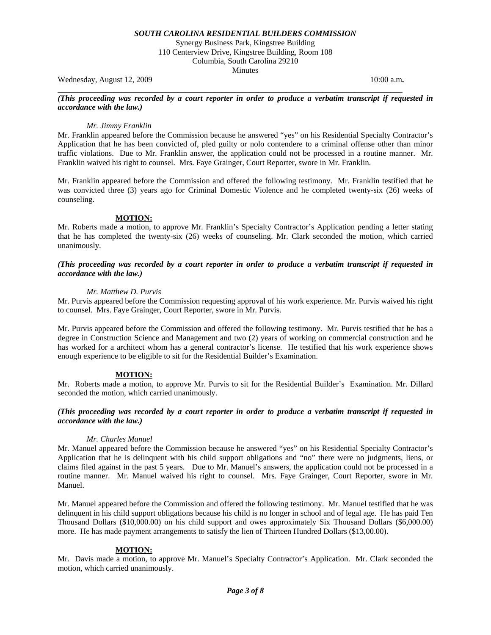Synergy Business Park, Kingstree Building 110 Centerview Drive, Kingstree Building, Room 108 Columbia, South Carolina 29210 Minutes

Wednesday, August 12, 2009 **10:00 a.m. 10:00 a.m. 10:00 a.m. 10:00 a.m.** 

#### *(This proceeding was recorded by a court reporter in order to produce a verbatim transcript if requested in accordance with the law.)*

**\_\_\_\_\_\_\_\_\_\_\_\_\_\_\_\_\_\_\_\_\_\_\_\_\_\_\_\_\_\_\_\_\_\_\_\_\_\_\_\_\_\_\_\_\_\_\_\_\_\_\_\_\_\_\_\_\_\_\_\_\_\_\_\_\_\_\_\_\_\_\_\_\_\_\_\_\_\_\_\_\_\_\_\_\_\_** 

### *Mr. Jimmy Franklin*

Mr. Franklin appeared before the Commission because he answered "yes" on his Residential Specialty Contractor's Application that he has been convicted of, pled guilty or nolo contendere to a criminal offense other than minor traffic violations. Due to Mr. Franklin answer, the application could not be processed in a routine manner. Mr. Franklin waived his right to counsel. Mrs. Faye Grainger, Court Reporter, swore in Mr. Franklin.

Mr. Franklin appeared before the Commission and offered the following testimony. Mr. Franklin testified that he was convicted three (3) years ago for Criminal Domestic Violence and he completed twenty-six (26) weeks of counseling.

## **MOTION:**

Mr. Roberts made a motion, to approve Mr. Franklin's Specialty Contractor's Application pending a letter stating that he has completed the twenty-six (26) weeks of counseling. Mr. Clark seconded the motion, which carried unanimously.

## *(This proceeding was recorded by a court reporter in order to produce a verbatim transcript if requested in accordance with the law.)*

## *Mr. Matthew D. Purvis*

Mr. Purvis appeared before the Commission requesting approval of his work experience. Mr. Purvis waived his right to counsel. Mrs. Faye Grainger, Court Reporter, swore in Mr. Purvis.

Mr. Purvis appeared before the Commission and offered the following testimony. Mr. Purvis testified that he has a degree in Construction Science and Management and two (2) years of working on commercial construction and he has worked for a architect whom has a general contractor's license. He testified that his work experience shows enough experience to be eligible to sit for the Residential Builder's Examination.

# **MOTION:**

Mr. Roberts made a motion, to approve Mr. Purvis to sit for the Residential Builder's Examination. Mr. Dillard seconded the motion, which carried unanimously.

# *(This proceeding was recorded by a court reporter in order to produce a verbatim transcript if requested in accordance with the law.)*

#### *Mr. Charles Manuel*

Mr. Manuel appeared before the Commission because he answered "yes" on his Residential Specialty Contractor's Application that he is delinquent with his child support obligations and "no" there were no judgments, liens, or claims filed against in the past 5 years. Due to Mr. Manuel's answers, the application could not be processed in a routine manner. Mr. Manuel waived his right to counsel. Mrs. Faye Grainger, Court Reporter, swore in Mr. Manuel.

Mr. Manuel appeared before the Commission and offered the following testimony. Mr. Manuel testified that he was delinquent in his child support obligations because his child is no longer in school and of legal age. He has paid Ten Thousand Dollars (\$10,000.00) on his child support and owes approximately Six Thousand Dollars (\$6,000.00) more. He has made payment arrangements to satisfy the lien of Thirteen Hundred Dollars (\$13,00.00).

# **MOTION:**

Mr. Davis made a motion, to approve Mr. Manuel's Specialty Contractor's Application. Mr. Clark seconded the motion, which carried unanimously.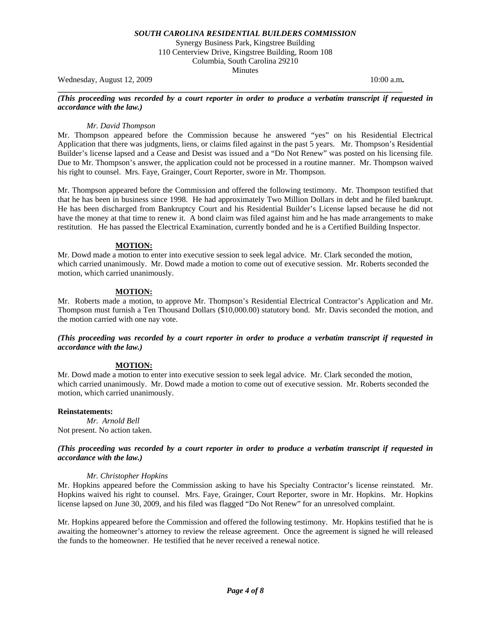Synergy Business Park, Kingstree Building 110 Centerview Drive, Kingstree Building, Room 108 Columbia, South Carolina 29210 Minutes

Wednesday, August 12, 2009 **10:00 a.m. 10:00 a.m. 10:00 a.m. 10:00 a.m.** 

#### *(This proceeding was recorded by a court reporter in order to produce a verbatim transcript if requested in accordance with the law.)*

**\_\_\_\_\_\_\_\_\_\_\_\_\_\_\_\_\_\_\_\_\_\_\_\_\_\_\_\_\_\_\_\_\_\_\_\_\_\_\_\_\_\_\_\_\_\_\_\_\_\_\_\_\_\_\_\_\_\_\_\_\_\_\_\_\_\_\_\_\_\_\_\_\_\_\_\_\_\_\_\_\_\_\_\_\_\_** 

## *Mr. David Thompson*

Mr. Thompson appeared before the Commission because he answered "yes" on his Residential Electrical Application that there was judgments, liens, or claims filed against in the past 5 years. Mr. Thompson's Residential Builder's license lapsed and a Cease and Desist was issued and a "Do Not Renew" was posted on his licensing file. Due to Mr. Thompson's answer, the application could not be processed in a routine manner. Mr. Thompson waived his right to counsel. Mrs. Faye, Grainger, Court Reporter, swore in Mr. Thompson.

Mr. Thompson appeared before the Commission and offered the following testimony. Mr. Thompson testified that that he has been in business since 1998. He had approximately Two Million Dollars in debt and he filed bankrupt. He has been discharged from Bankruptcy Court and his Residential Builder's License lapsed because he did not have the money at that time to renew it. A bond claim was filed against him and he has made arrangements to make restitution. He has passed the Electrical Examination, currently bonded and he is a Certified Building Inspector.

## **MOTION:**

Mr. Dowd made a motion to enter into executive session to seek legal advice. Mr. Clark seconded the motion, which carried unanimously. Mr. Dowd made a motion to come out of executive session. Mr. Roberts seconded the motion, which carried unanimously.

## **MOTION:**

Mr. Roberts made a motion, to approve Mr. Thompson's Residential Electrical Contractor's Application and Mr. Thompson must furnish a Ten Thousand Dollars (\$10,000.00) statutory bond. Mr. Davis seconded the motion, and the motion carried with one nay vote.

## *(This proceeding was recorded by a court reporter in order to produce a verbatim transcript if requested in accordance with the law.)*

# **MOTION:**

Mr. Dowd made a motion to enter into executive session to seek legal advice. Mr. Clark seconded the motion, which carried unanimously. Mr. Dowd made a motion to come out of executive session. Mr. Roberts seconded the motion, which carried unanimously.

#### **Reinstatements:**

 *Mr. Arnold Bell*  Not present. No action taken.

## *(This proceeding was recorded by a court reporter in order to produce a verbatim transcript if requested in accordance with the law.)*

#### *Mr. Christopher Hopkins*

Mr. Hopkins appeared before the Commission asking to have his Specialty Contractor's license reinstated. Mr. Hopkins waived his right to counsel. Mrs. Faye, Grainger, Court Reporter, swore in Mr. Hopkins. Mr. Hopkins license lapsed on June 30, 2009, and his filed was flagged "Do Not Renew" for an unresolved complaint.

Mr. Hopkins appeared before the Commission and offered the following testimony. Mr. Hopkins testified that he is awaiting the homeowner's attorney to review the release agreement. Once the agreement is signed he will released the funds to the homeowner. He testified that he never received a renewal notice.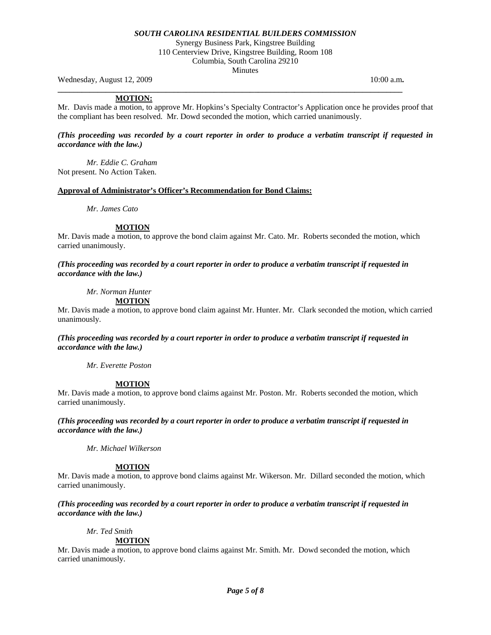Synergy Business Park, Kingstree Building 110 Centerview Drive, Kingstree Building, Room 108 Columbia, South Carolina 29210 **Minutes** 

Wednesday, August 12, 2009 **10:00 a.m. 10:00 a.m. 10:00 a.m. 10:00 a.m.** 

## **MOTION:**

Mr. Davis made a motion, to approve Mr. Hopkins's Specialty Contractor's Application once he provides proof that the compliant has been resolved. Mr. Dowd seconded the motion, which carried unanimously.

**\_\_\_\_\_\_\_\_\_\_\_\_\_\_\_\_\_\_\_\_\_\_\_\_\_\_\_\_\_\_\_\_\_\_\_\_\_\_\_\_\_\_\_\_\_\_\_\_\_\_\_\_\_\_\_\_\_\_\_\_\_\_\_\_\_\_\_\_\_\_\_\_\_\_\_\_\_\_\_\_\_\_\_\_\_\_** 

*(This proceeding was recorded by a court reporter in order to produce a verbatim transcript if requested in accordance with the law.)* 

 *Mr. Eddie C. Graham*  Not present. No Action Taken.

#### **Approval of Administrator's Officer's Recommendation for Bond Claims:**

*Mr. James Cato* 

## **MOTION**

Mr. Davis made a motion, to approve the bond claim against Mr. Cato. Mr. Roberts seconded the motion, which carried unanimously.

*(This proceeding was recorded by a court reporter in order to produce a verbatim transcript if requested in accordance with the law.)* 

 *Mr. Norman Hunter*  **MOTION**

Mr. Davis made a motion, to approve bond claim against Mr. Hunter. Mr. Clark seconded the motion, which carried unanimously.

*(This proceeding was recorded by a court reporter in order to produce a verbatim transcript if requested in accordance with the law.)* 

 *Mr. Everette Poston* 

# **MOTION**

Mr. Davis made a motion, to approve bond claims against Mr. Poston. Mr. Roberts seconded the motion, which carried unanimously.

*(This proceeding was recorded by a court reporter in order to produce a verbatim transcript if requested in accordance with the law.)* 

 *Mr. Michael Wilkerson* 

# **MOTION**

Mr. Davis made a motion, to approve bond claims against Mr. Wikerson. Mr. Dillard seconded the motion, which carried unanimously.

## *(This proceeding was recorded by a court reporter in order to produce a verbatim transcript if requested in accordance with the law.)*

 *Mr. Ted Smith* 

**MOTION**

Mr. Davis made a motion, to approve bond claims against Mr. Smith. Mr. Dowd seconded the motion, which carried unanimously.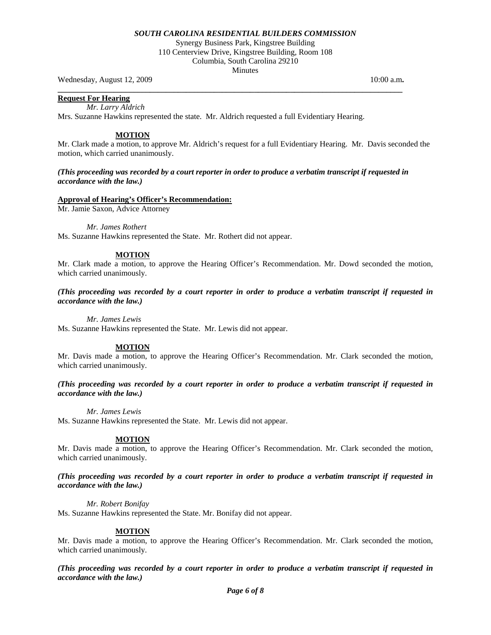Synergy Business Park, Kingstree Building 110 Centerview Drive, Kingstree Building, Room 108 Columbia, South Carolina 29210 **Minutes** 

Wednesday, August 12, 2009 **10:00 a.m. 10:00 a.m. 10:00 a.m. 10:00 a.m.** 

**Request For Hearing**

 *Mr. Larry Aldrich* 

Mrs. Suzanne Hawkins represented the state. Mr. Aldrich requested a full Evidentiary Hearing.

#### **MOTION**

Mr. Clark made a motion, to approve Mr. Aldrich's request for a full Evidentiary Hearing. Mr. Davis seconded the motion, which carried unanimously.

### *(This proceeding was recorded by a court reporter in order to produce a verbatim transcript if requested in accordance with the law.)*

**\_\_\_\_\_\_\_\_\_\_\_\_\_\_\_\_\_\_\_\_\_\_\_\_\_\_\_\_\_\_\_\_\_\_\_\_\_\_\_\_\_\_\_\_\_\_\_\_\_\_\_\_\_\_\_\_\_\_\_\_\_\_\_\_\_\_\_\_\_\_\_\_\_\_\_\_\_\_\_\_\_\_\_\_\_\_** 

#### **Approval of Hearing's Officer's Recommendation:**

Mr. Jamie Saxon, Advice Attorney

*Mr. James Rothert* 

Ms. Suzanne Hawkins represented the State. Mr. Rothert did not appear.

#### **MOTION**

Mr. Clark made a motion, to approve the Hearing Officer's Recommendation. Mr. Dowd seconded the motion, which carried unanimously.

*(This proceeding was recorded by a court reporter in order to produce a verbatim transcript if requested in accordance with the law.)* 

 *Mr. James Lewis* 

Ms. Suzanne Hawkins represented the State. Mr. Lewis did not appear.

#### **MOTION**

Mr. Davis made a motion, to approve the Hearing Officer's Recommendation. Mr. Clark seconded the motion, which carried unanimously.

*(This proceeding was recorded by a court reporter in order to produce a verbatim transcript if requested in accordance with the law.)* 

 *Mr. James Lewis* 

Ms. Suzanne Hawkins represented the State. Mr. Lewis did not appear.

#### **MOTION**

Mr. Davis made a motion, to approve the Hearing Officer's Recommendation. Mr. Clark seconded the motion, which carried unanimously.

*(This proceeding was recorded by a court reporter in order to produce a verbatim transcript if requested in accordance with the law.)* 

 *Mr. Robert Bonifay* 

Ms. Suzanne Hawkins represented the State. Mr. Bonifay did not appear.

#### **MOTION**

Mr. Davis made a motion, to approve the Hearing Officer's Recommendation. Mr. Clark seconded the motion, which carried unanimously.

*(This proceeding was recorded by a court reporter in order to produce a verbatim transcript if requested in accordance with the law.)*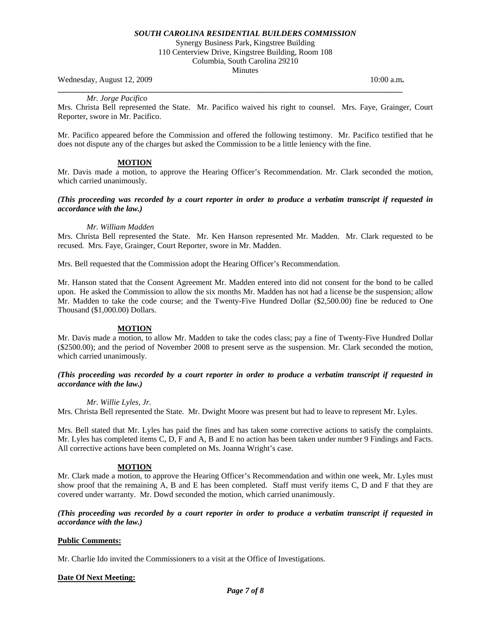Synergy Business Park, Kingstree Building 110 Centerview Drive, Kingstree Building, Room 108 Columbia, South Carolina 29210 **Minutes** 

Wednesday, August 12, 2009 **10:00 a.m. 10:00 a.m. 10:00 a.m. 10:00 a.m.** 

*Mr. Jorge Pacifico* 

Mrs. Christa Bell represented the State. Mr. Pacifico waived his right to counsel. Mrs. Faye, Grainger, Court Reporter, swore in Mr. Pacifico.

**\_\_\_\_\_\_\_\_\_\_\_\_\_\_\_\_\_\_\_\_\_\_\_\_\_\_\_\_\_\_\_\_\_\_\_\_\_\_\_\_\_\_\_\_\_\_\_\_\_\_\_\_\_\_\_\_\_\_\_\_\_\_\_\_\_\_\_\_\_\_\_\_\_\_\_\_\_\_\_\_\_\_\_\_\_\_** 

Mr. Pacifico appeared before the Commission and offered the following testimony. Mr. Pacifico testified that he does not dispute any of the charges but asked the Commission to be a little leniency with the fine.

# **MOTION**

Mr. Davis made a motion, to approve the Hearing Officer's Recommendation. Mr. Clark seconded the motion, which carried unanimously.

## *(This proceeding was recorded by a court reporter in order to produce a verbatim transcript if requested in accordance with the law.)*

## *Mr. William Madden*

Mrs. Christa Bell represented the State. Mr. Ken Hanson represented Mr. Madden. Mr. Clark requested to be recused. Mrs. Faye, Grainger, Court Reporter, swore in Mr. Madden.

Mrs. Bell requested that the Commission adopt the Hearing Officer's Recommendation.

Mr. Hanson stated that the Consent Agreement Mr. Madden entered into did not consent for the bond to be called upon. He asked the Commission to allow the six months Mr. Madden has not had a license be the suspension; allow Mr. Madden to take the code course; and the Twenty-Five Hundred Dollar (\$2,500.00) fine be reduced to One Thousand (\$1,000.00) Dollars.

# **MOTION**

Mr. Davis made a motion, to allow Mr. Madden to take the codes class; pay a fine of Twenty-Five Hundred Dollar (\$2500.00); and the period of November 2008 to present serve as the suspension. Mr. Clark seconded the motion, which carried unanimously.

# *(This proceeding was recorded by a court reporter in order to produce a verbatim transcript if requested in accordance with the law.)*

#### *Mr. Willie Lyles, Jr.*

Mrs. Christa Bell represented the State. Mr. Dwight Moore was present but had to leave to represent Mr. Lyles.

Mrs. Bell stated that Mr. Lyles has paid the fines and has taken some corrective actions to satisfy the complaints. Mr. Lyles has completed items C, D, F and A, B and E no action has been taken under number 9 Findings and Facts. All corrective actions have been completed on Ms. Joanna Wright's case.

# **MOTION**

Mr. Clark made a motion, to approve the Hearing Officer's Recommendation and within one week, Mr. Lyles must show proof that the remaining A, B and E has been completed. Staff must verify items C, D and F that they are covered under warranty. Mr. Dowd seconded the motion, which carried unanimously.

## *(This proceeding was recorded by a court reporter in order to produce a verbatim transcript if requested in accordance with the law.)*

#### **Public Comments:**

Mr. Charlie Ido invited the Commissioners to a visit at the Office of Investigations.

# **Date Of Next Meeting:**